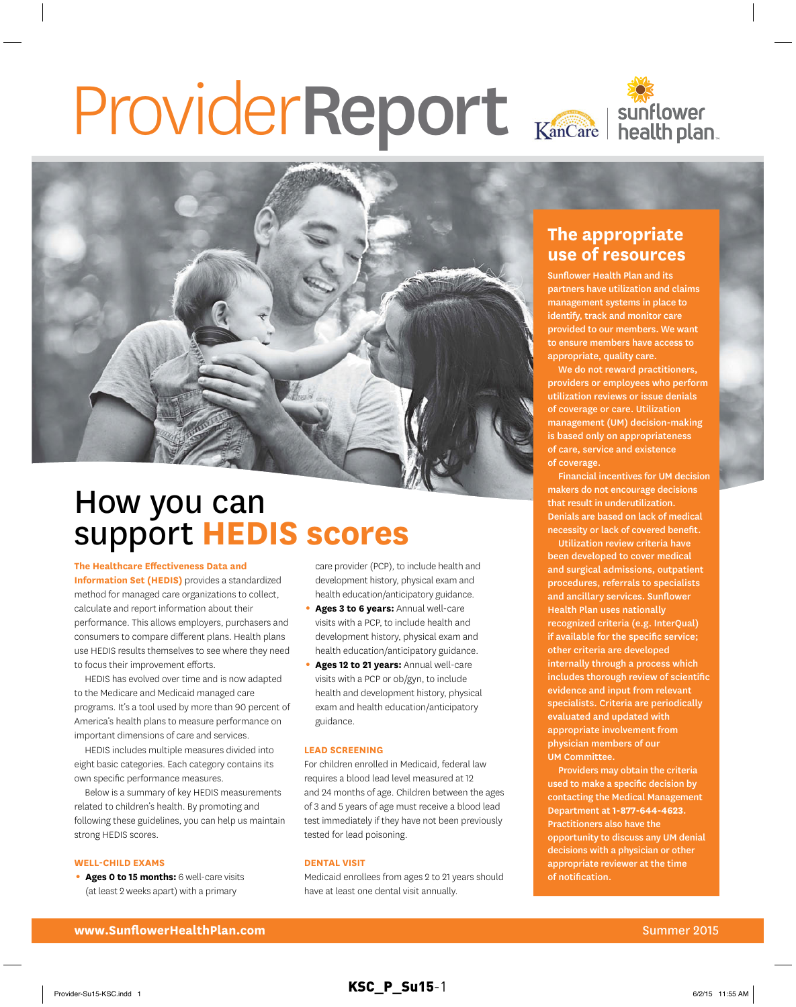# ProviderReport Kancare | sunflower



## How you can support **HEDIS scores**

**The Healthcare Effectiveness Data and Information Set (HEDIS)** provides a standardized method for managed care organizations to collect, calculate and report information about their performance. This allows employers, purchasers and consumers to compare different plans. Health plans use HEDIS results themselves to see where they need to focus their improvement efforts.

HEDIS has evolved over time and is now adapted to the Medicare and Medicaid managed care programs. It's a tool used by more than 90 percent of America's health plans to measure performance on important dimensions of care and services.

HEDIS includes multiple measures divided into eight basic categories. Each category contains its own specific performance measures.

Below is a summary of key HEDIS measurements related to children's health. By promoting and following these guidelines, you can help us maintain strong HEDIS scores.

#### **WEll-CHIlD ExamS**

Ages 0 to 15 months: 6 well-care visits (at least 2 weeks apart) with a primary

care provider (PCP), to include health and development history, physical exam and health education/anticipatory guidance.

- **Ages 3 to 6 years:** Annual well-care visits with a PCP, to include health and development history, physical exam and health education/anticipatory guidance.
- **Ages 12 to 21 years:** Annual well-care visits with a PCP or ob/gyn, to include health and development history, physical exam and health education/anticipatory guidance.

#### **lEaD SCrEEnIng**

For children enrolled in Medicaid, federal law requires a blood lead level measured at 12 and 24 months of age. Children between the ages of 3 and 5 years of age must receive a blood lead test immediately if they have not been previously tested for lead poisoning.

#### **DEnTal VISIT**

Medicaid enrollees from ages 2 to 21 years should have at least one dental visit annually.

### **The appropriate use of resources**

Sunflower Health Plan and its partners have utilization and claims management systems in place to identify, track and monitor care provided to our members. We want to ensure members have access to appropriate, quality care.

We do not reward practitioners, providers or employees who perform utilization reviews or issue denials of coverage or care. Utilization management (UM) decision-making is based only on appropriateness of care, service and existence of coverage.

Financial incentives for UM decision makers do not encourage decisions that result in underutilization. Denials are based on lack of medical necessity or lack of covered benefit.

Utilization review criteria have been developed to cover medical and surgical admissions, outpatient procedures, referrals to specialists and ancillary services. Sunflower Health Plan uses nationally recognized criteria (e.g. InterQual) if available for the specific service; other criteria are developed internally through a process which includes thorough review of scientific evidence and input from relevant specialists. Criteria are periodically evaluated and updated with appropriate involvement from physician members of our UM Committee.

Providers may obtain the criteria used to make a specific decision by contacting the Medical Management Department at **1-877-644-4623**. Practitioners also have the opportunity to discuss any UM denial decisions with a physician or other appropriate reviewer at the time of notification.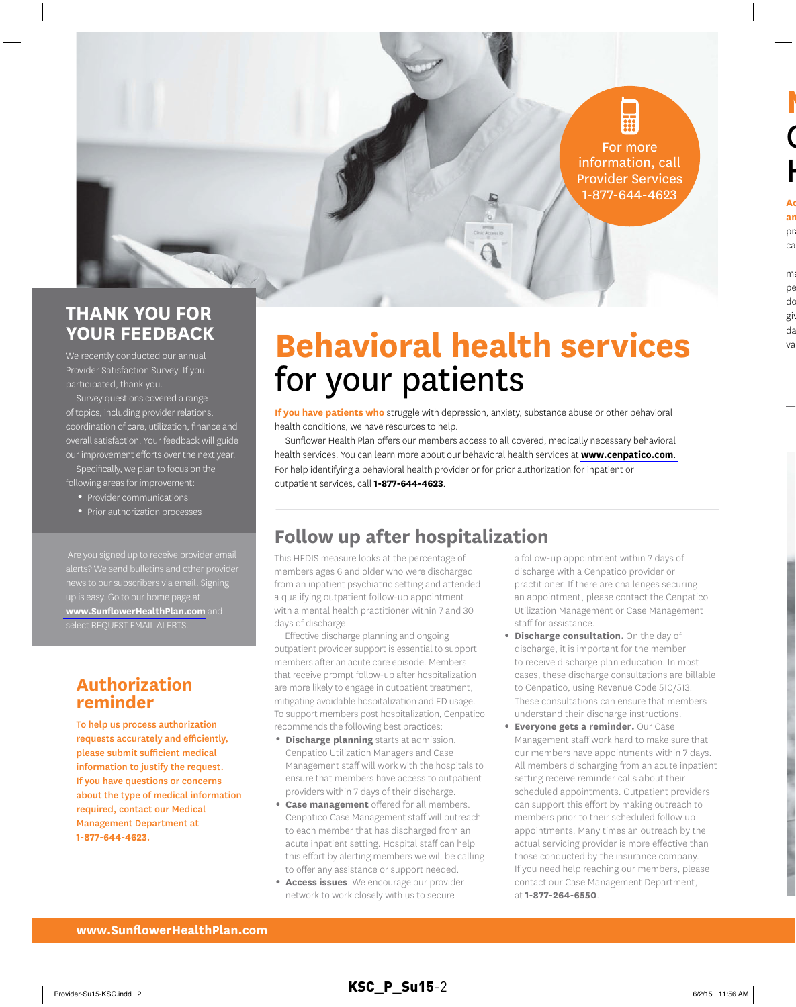

**Medical** 

### **THank You for Your fEEDbaCk**

We recently conducted our annual Provider Satisfaction Survey. If you participated, thank you.

Survey questions covered a range of topics, including provider relations, coordination of care, utilization, finance and overall satisfaction. Your feedback will guide our improvement efforts over the next year.

Specifically, we plan to focus on the following areas for improvement:

- 
- 

alerts? We send bulletins and other provider up is easy. Go to our home page at **[www.SunflowerHealthPlan.com](http://www.SunflowerHealthPlan.com)** and select REQUEST EMAIL ALERTS.

### **Authorization** reminder

To help us process authorization requests accurately and efficiently, please submit sufficient medical information to justify the request. If you have questions or concerns about the type of medical information required, contact our Medical Management Department at **1-877-644-4623**.

# **Double Check Questions Important More Community**  for your patients

**Emergency VIsion**

**If you have patients who** struggle with depression, anxiety, substance abuse or other behavioral health conditions, we have resources to help.

Sunflower Health Plan offers our members access to all covered, medically necessary behavioral health services. You can learn more about our behavioral health services at **[www.cenpatico.com](http://www.cenpatico.com)**. For help identifying a behavioral health provider or for prior authorization for inpatient or outpatient services, call **1-877-644-4623**. **Phone Web Women's**  Web Women's **Web Women's Prescription Behavioral Dental**

### **Follow up after hospitalization**

This HEDIS measure looks at the percentage of members ages 6 and older who were discharged from an inpatient psychiatric setting and attended a qualifying outpatient follow-up appointment with a mental health practitioner within 7 and 30 days of discharge.

Effective discharge planning and ongoing outpatient provider support is essential to support members after an acute care episode. Members that receive prompt follow-up after hospitalization are more likely to engage in outpatient treatment, mitigating avoidable hospitalization and ED usage. To support members post hospitalization, Cenpatico recommends the following best practices:

- **Discharge planning** starts at admission. Cenpatico Utilization Managers and Case Management staff will work with the hospitals to ensure that members have access to outpatient providers within 7 days of their discharge.
- **Case management** offered for all members. Cenpatico Case Management staff will outreach to each member that has discharged from an acute inpatient setting. Hospital staff can help this effort by alerting members we will be calling to offer any assistance or support needed.
- **Access issues**. We encourage our provider network to work closely with us to secure

a follow-up appointment within 7 days of discharge with a Cenpatico provider or practitioner. If there are challenges securing an appointment, please contact the Cenpatico Utilization Management or Case Management staff for assistance.

**Notes**

- **Discharge consultation.** On the day of discharge, it is important for the member to receive discharge plan education. In most cases, these discharge consultations are billable to Cenpatico, using Revenue Code 510/513. These consultations can ensure that members understand their discharge instructions.
- $\bullet$ **Everyone gets a reminder.** Our Case Management staff work hard to make sure that our members have appointments within 7 days. All members discharging from an acute inpatient setting receive reminder calls about their scheduled appointments. Outpatient providers can support this effort by making outreach to members prior to their scheduled follow up appointments. Many times an outreach by the actual servicing provider is more effective than those conducted by the insurance company. If you need help reaching our members, please contact our Case Management Department, at **1-877-264-6550**.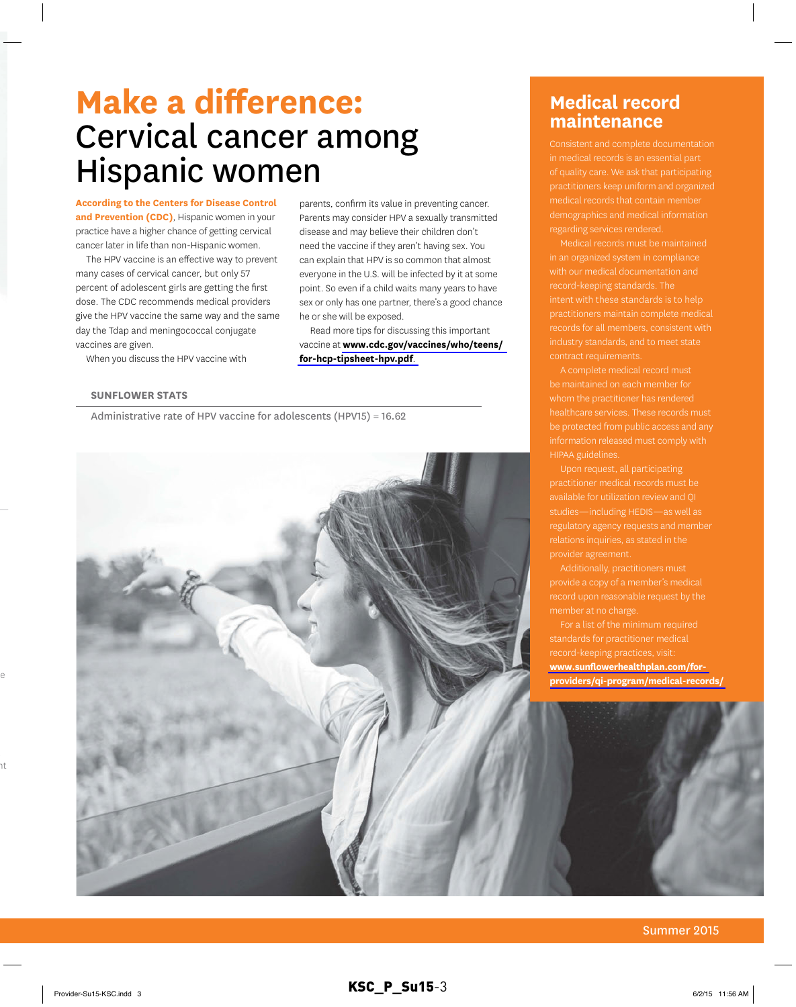# **Make a difference:** Cervical cancer among Hispanic women

**According to the Centers for Disease Control** and Prevention (CDC), Hispanic women in your practice have a higher chance of getting cervical cancer later in life than non-Hispanic women.

The HPV vaccine is an effective way to prevent many cases of cervical cancer, but only 57 percent of adolescent girls are getting the first dose. The CDC recommends medical providers give the HPV vaccine the same way and the same day the Tdap and meningococcal conjugate vaccines are given.

When you discuss the HPV vaccine with

parents, confirm its value in preventing cancer. Parents may consider HPV a sexually transmitted disease and may believe their children don't need the vaccine if they aren't having sex. You can explain that HPV is so common that almost everyone in the U.S. will be infected by it at some point. So even if a child waits many years to have sex or only has one partner, there's a good chance he or she will be exposed.

Read more tips for discussing this important vaccine at **[www.cdc.gov/vaccines/who/teens/](http://www.cdc.gov/vaccines/who/teens/for-hcp-tipsheet-hpv.pdf) [for-hcp-tipsheet-hpv.pdf](http://www.cdc.gov/vaccines/who/teens/for-hcp-tipsheet-hpv.pdf)**.

#### **SunfloWEr STaTS**

Administrative rate of HPV vaccine for adolescents (HPV15) = 16.62



### **Medical record** maintenance

Consistent and complete documentation in medical records is an essential part practitioners keep uniform and organized demographics and medical information regarding services rendered.

Medical records must be maintained in an organized system in compliance intent with these standards is to help practitioners maintain complete medical records for all members, consistent with contract requirements.

A complete medical record must be maintained on each member for whom the practitioner has rendered healthcare services. These records must be protected from public access and any HIPAA guidelines.

Upon request, all participating practitioner medical records must be available for utilization review and QI studies—including HEDIS—as well as regulatory agency requests and member relations inquiries, as stated in the

Additionally, practitioners must provide a copy of a member's medical record upon reasonable request by the

For a list of the minimum required standards for practitioner medical record-keeping practices, visit: **[www.sunflowerhealthplan.com/for](https://www.sunflowerhealthplan.com/providers/quality-improvement/medical-records.html)[providers/qi-program/medical-records/](https://www.sunflowerhealthplan.com/providers/quality-improvement/medical-records.html)**